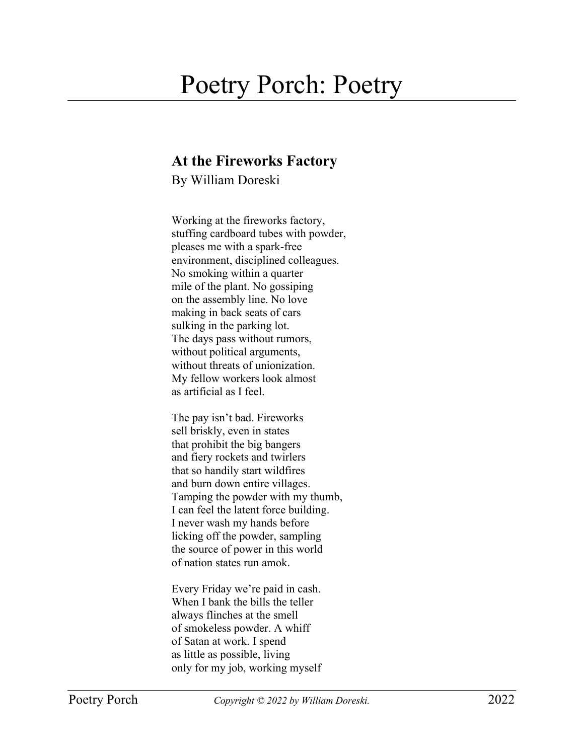## Poetry Porch: Poetry

## **At the Fireworks Factory**

By William Doreski

Working at the fireworks factory, stuffing cardboard tubes with powder, pleases me with a spark-free environment, disciplined colleagues. No smoking within a quarter mile of the plant. No gossiping on the assembly line. No love making in back seats of cars sulking in the parking lot. The days pass without rumors, without political arguments, without threats of unionization. My fellow workers look almost as artificial as I feel.

The pay isn't bad. Fireworks sell briskly, even in states that prohibit the big bangers and fiery rockets and twirlers that so handily start wildfires and burn down entire villages. Tamping the powder with my thumb, I can feel the latent force building. I never wash my hands before licking off the powder, sampling the source of power in this world of nation states run amok.

Every Friday we're paid in cash. When I bank the bills the teller always flinches at the smell of smokeless powder. A whiff of Satan at work. I spend as little as possible, living only for my job, working myself